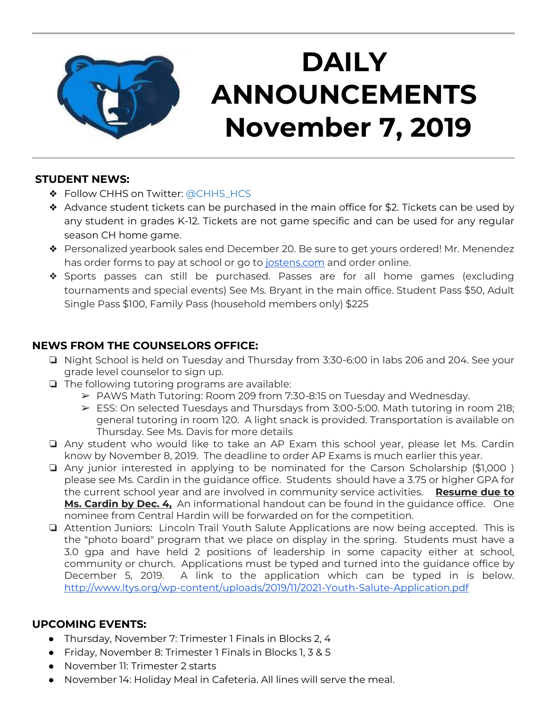

# **DAILY ANNOUNCEMENTS November 7, 2019**

#### **STUDENT NEWS:**

- ❖ Follow CHHS on Twitter: [@CHHS\\_HCS](https://twitter.com/CHHS_HCS)
- ❖ Advance student tickets can be purchased in the main office for \$2. Tickets can be used by any student in grades K-12. Tickets are not game specific and can be used for any regular season CH home game.
- ❖ Personalized yearbook sales end December 20. Be sure to get yours ordered! Mr. Menendez has order forms to pay at school or go to [jostens.com](http://jostens.com/) and order online.
- ❖ Sports passes can still be purchased. Passes are for all home games (excluding tournaments and special events) See Ms. Bryant in the main office. Student Pass \$50, Adult Single Pass \$100, Family Pass (household members only) \$225

#### **NEWS FROM THE COUNSELORS OFFICE:**

- ❏ Night School is held on Tuesday and Thursday from 3:30-6:00 in labs 206 and 204. See your grade level counselor to sign up.
- ❏ The following tutoring programs are available:
	- ➢ PAWS Math Tutoring: Room 209 from 7:30-8:15 on Tuesday and Wednesday.
	- $\triangleright$  ESS: On selected Tuesdays and Thursdays from 3:00-5:00. Math tutoring in room 218; general tutoring in room 120. A light snack is provided. Transportation is available on Thursday. See Ms. Davis for more details
- ❏ Any student who would like to take an AP Exam this school year, please let Ms. Cardin know by November 8, 2019. The deadline to order AP Exams is much earlier this year.
- ❏ Any junior interested in applying to be nominated for the Carson Scholarship (\$1,000 ) please see Ms. Cardin in the guidance office. Students should have a 3.75 or higher GPA for the current school year and are involved in community service activities. **Resume due to Ms. Cardin by Dec. 4,** An informational handout can be found in the guidance office. One nominee from Central Hardin will be forwarded on for the competition.
- ❏ Attention Juniors: Lincoln Trail Youth Salute Applications are now being accepted. This is the "photo board" program that we place on display in the spring. Students must have a 3.0 gpa and have held 2 positions of leadership in some capacity either at school, community or church. Applications must be typed and turned into the guidance office by December 5, 2019. A link to the application which can be typed in is below. <http://www.ltys.org/wp-content/uploads/2019/11/2021-Youth-Salute-Application.pdf>

### **UPCOMING EVENTS:**

- Thursday, November 7: Trimester 1 Finals in Blocks 2, 4
- Friday, November 8: Trimester 1 Finals in Blocks 1, 3 & 5
- November 11: Trimester 2 starts
- November 14: Holiday Meal in Cafeteria. All lines will serve the meal.